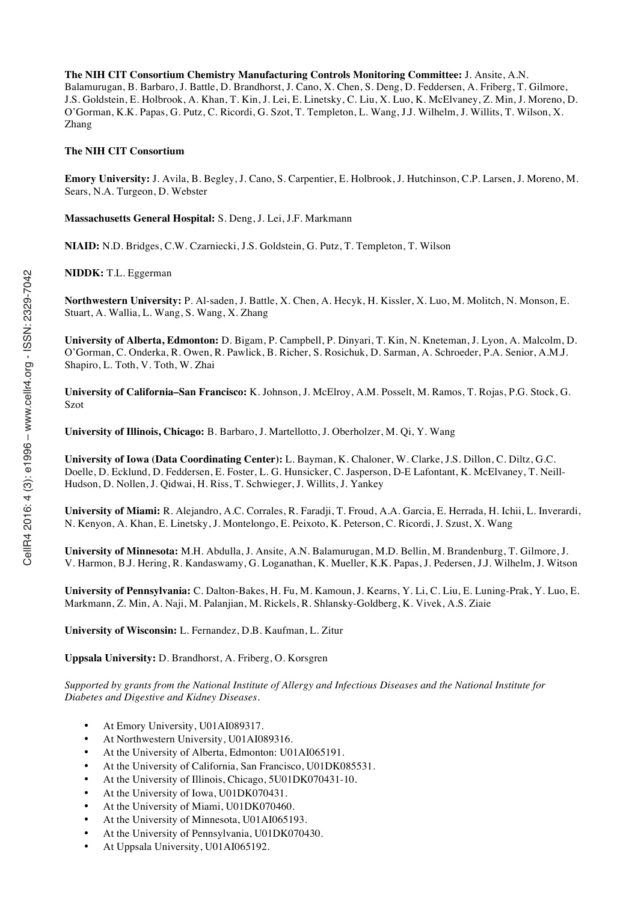**The NIH CIT Consortium Chemistry Manufacturing Controls Monitoring Committee:** J. Ansite, A.N. Balamurugan, B. Barbaro, J. Battle, D. Brandhorst, J. Cano, X. Chen, S. Deng, D. Feddersen, A. Friberg, T. Gilmore, J.S. Goldstein, E. Holbrook, A. Khan, T. Kin, J. Lei, E. Linetsky, C. Liu, X. Luo, K. McElvaney, Z. Min, J. Moreno, D. O'Gorman, K.K. Papas, G. Putz, C. Ricordi, G. Szot, T. Templeton, L. Wang, J.J. Wilhelm, J. Willits, T. Wilson, X. Zhang

#### **The NIH CIT Consortium**

**Emory University:** J. Avila, B. Begley, J. Cano, S. Carpentier, E. Holbrook, J. Hutchinson, C.P. Larsen, J. Moreno, M. Sears, N.A. Turgeon, D. Webster

**Massachusetts General Hospital:** S. Deng, J. Lei, J.F. Markmann

**NIAID:** N.D. Bridges, C.W. Czarniecki, J.S. Goldstein, G. Putz, T. Templeton, T. Wilson

**NIDDK:** T.L. Eggerman

**Northwestern University:** P. Al-saden, J. Battle, X. Chen, A. Hecyk, H. Kissler, X. Luo, M. Molitch, N. Monson, E. Stuart, A. Wallia, L. Wang, S. Wang, X. Zhang

**University of Alberta, Edmonton:** D. Bigam, P. Campbell, P. Dinyari, T. Kin, N. Kneteman, J. Lyon, A. Malcolm, D. O'Gorman, C. Onderka, R. Owen, R. Pawlick, B. Richer, S. Rosichuk, D. Sarman, A. Schroeder, P.A. Senior, A.M.J. Shapiro, L. Toth, V. Toth, W. Zhai

**University of California–San Francisco:** K. Johnson, J. McElroy, A.M. Posselt, M. Ramos, T. Rojas, P.G. Stock, G. Szot

**University of Illinois, Chicago:** B. Barbaro, J. Martellotto, J. Oberholzer, M. Qi, Y. Wang

**University of Iowa (Data Coordinating Center):** L. Bayman, K. Chaloner, W. Clarke, J.S. Dillon, C. Diltz, G.C. Doelle, D. Ecklund, D. Feddersen, E. Foster, L. G. Hunsicker, C. Jasperson, D-E Lafontant, K. McElvaney, T. Neill-Hudson, D. Nollen, J. Qidwai, H. Riss, T. Schwieger, J. Willits, J. Yankey

**University of Miami:** R. Alejandro, A.C. Corrales, R. Faradji, T. Froud, A.A. Garcia, E. Herrada, H. Ichii, L. Inverardi, N. Kenyon, A. Khan, E. Linetsky, J. Montelongo, E. Peixoto, K. Peterson, C. Ricordi, J. Szust, X. Wang

**University of Minnesota:** M.H. Abdulla, J. Ansite, A.N. Balamurugan, M.D. Bellin, M. Brandenburg, T. Gilmore, J. V. Harmon, B.J. Hering, R. Kandaswamy, G. Loganathan, K. Mueller, K.K. Papas, J. Pedersen, J.J. Wilhelm, J. Witson

**University of Pennsylvania:** C. Dalton-Bakes, H. Fu, M. Kamoun, J. Kearns, Y. Li, C. Liu, E. Luning-Prak, Y. Luo, E. Markmann, Z. Min, A. Naji, M. Palanjian, M. Rickels, R. Shlansky-Goldberg, K. Vivek, A.S. Ziaie

**University of Wisconsin:** L. Fernandez, D.B. Kaufman, L. Zitur

**Uppsala University:** D. Brandhorst, A. Friberg, O. Korsgren

*Supported by grants from the National Institute of Allergy and Infectious Diseases and the National Institute for Diabetes and Digestive and Kidney Diseases.*

- At Emory University, U01AI089317.
- At Northwestern University, U01AI089316.
- At the University of Alberta, Edmonton: U01AI065191.
- At the University of California, San Francisco, U01DK085531.
- At the University of Illinois, Chicago, 5U01DK070431-10.
- At the University of Iowa, U01DK070431.
- At the University of Miami, U01DK070460.
- At the University of Minnesota, U01AI065193.
- At the University of Pennsylvania, U01DK070430.
- At Uppsala University, U01AI065192.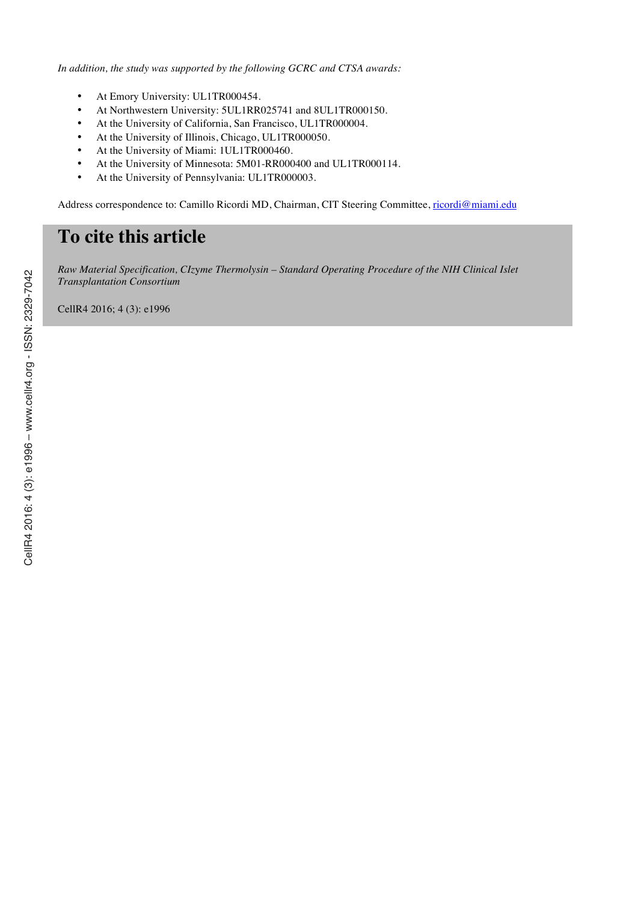*In addition, the study was supported by the following GCRC and CTSA awards:*

- At Emory University: UL1TR000454.
- At Northwestern University: 5UL1RR025741 and 8UL1TR000150.
- At the University of California, San Francisco, UL1TR000004.
- At the University of Illinois, Chicago, UL1TR000050.
- At the University of Miami: 1UL1TR000460.
- At the University of Minnesota: 5M01-RR000400 and UL1TR000114.
- At the University of Pennsylvania: UL1TR000003.

Address correspondence to: Camillo Ricordi MD, Chairman, CIT Steering Committee, ricordi@miami.edu

# **To cite this article**

*Raw Material Specification, CIz*y*me Thermolysin – Standard Operating Procedure of the NIH Clinical Islet Transplantation Consortium*

CellR4 2016; 4 (3): e1996